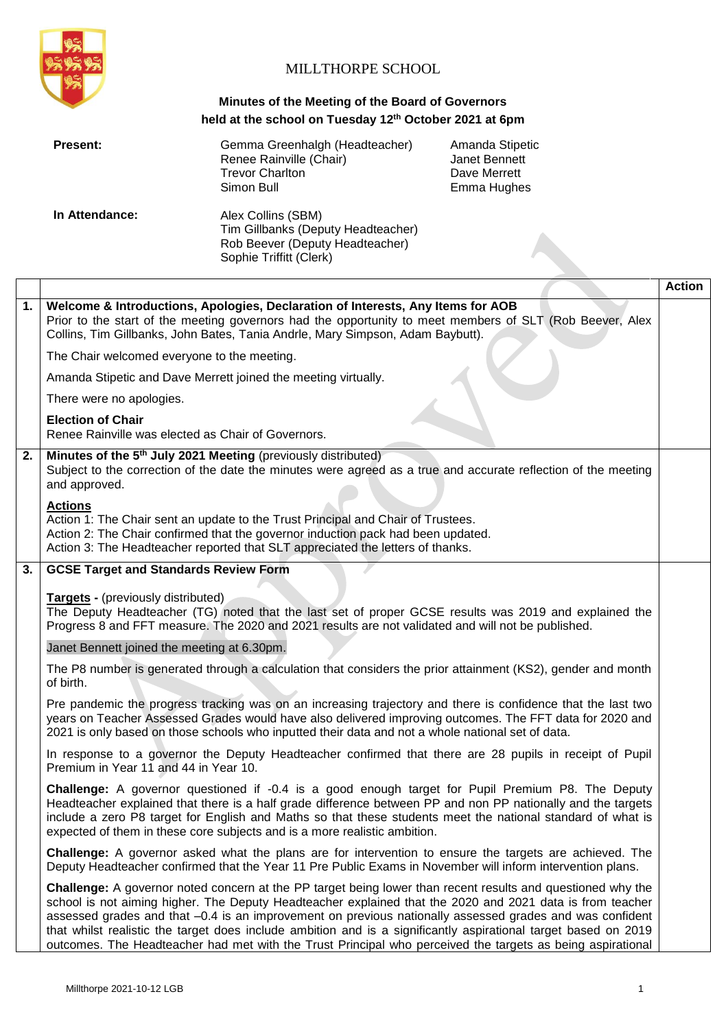

## MILLTHORPE SCHOOL

### **Minutes of the Meeting of the Board of Governors held at the school on Tuesday 12th October 2021 at 6pm**

|    | <b>Present:</b>                                                                                                                                                                                                                                                               | Gemma Greenhalgh (Headteacher)<br>Renee Rainville (Chair)<br><b>Trevor Charlton</b><br>Simon Bull                                                                                                                                                                                                                                                                                                                                                                                                                                                                            | Amanda Stipetic<br>Janet Bennett<br>Dave Merrett<br>Emma Hughes |               |  |
|----|-------------------------------------------------------------------------------------------------------------------------------------------------------------------------------------------------------------------------------------------------------------------------------|------------------------------------------------------------------------------------------------------------------------------------------------------------------------------------------------------------------------------------------------------------------------------------------------------------------------------------------------------------------------------------------------------------------------------------------------------------------------------------------------------------------------------------------------------------------------------|-----------------------------------------------------------------|---------------|--|
|    | In Attendance:                                                                                                                                                                                                                                                                | Alex Collins (SBM)<br>Tim Gillbanks (Deputy Headteacher)<br>Rob Beever (Deputy Headteacher)<br>Sophie Triffitt (Clerk)                                                                                                                                                                                                                                                                                                                                                                                                                                                       |                                                                 |               |  |
|    |                                                                                                                                                                                                                                                                               |                                                                                                                                                                                                                                                                                                                                                                                                                                                                                                                                                                              |                                                                 | <b>Action</b> |  |
| 1. | Welcome & Introductions, Apologies, Declaration of Interests, Any Items for AOB<br>Prior to the start of the meeting governors had the opportunity to meet members of SLT (Rob Beever, Alex<br>Collins, Tim Gillbanks, John Bates, Tania Andrle, Mary Simpson, Adam Baybutt). |                                                                                                                                                                                                                                                                                                                                                                                                                                                                                                                                                                              |                                                                 |               |  |
|    |                                                                                                                                                                                                                                                                               | The Chair welcomed everyone to the meeting.                                                                                                                                                                                                                                                                                                                                                                                                                                                                                                                                  |                                                                 |               |  |
|    |                                                                                                                                                                                                                                                                               | Amanda Stipetic and Dave Merrett joined the meeting virtually.                                                                                                                                                                                                                                                                                                                                                                                                                                                                                                               |                                                                 |               |  |
|    | There were no apologies.                                                                                                                                                                                                                                                      |                                                                                                                                                                                                                                                                                                                                                                                                                                                                                                                                                                              |                                                                 |               |  |
|    | <b>Election of Chair</b><br>Renee Rainville was elected as Chair of Governors.                                                                                                                                                                                                |                                                                                                                                                                                                                                                                                                                                                                                                                                                                                                                                                                              |                                                                 |               |  |
| 2. | Minutes of the 5 <sup>th</sup> July 2021 Meeting (previously distributed)<br>and approved.                                                                                                                                                                                    | Subject to the correction of the date the minutes were agreed as a true and accurate reflection of the meeting                                                                                                                                                                                                                                                                                                                                                                                                                                                               |                                                                 |               |  |
|    | <b>Actions</b><br>Action 1: The Chair sent an update to the Trust Principal and Chair of Trustees.<br>Action 2: The Chair confirmed that the governor induction pack had been updated.<br>Action 3: The Headteacher reported that SLT appreciated the letters of thanks.      |                                                                                                                                                                                                                                                                                                                                                                                                                                                                                                                                                                              |                                                                 |               |  |
| 3. | <b>GCSE Target and Standards Review Form</b>                                                                                                                                                                                                                                  |                                                                                                                                                                                                                                                                                                                                                                                                                                                                                                                                                                              |                                                                 |               |  |
|    | <b>Targets - (previously distributed)</b><br>The Deputy Headteacher (TG) noted that the last set of proper GCSE results was 2019 and explained the<br>Progress 8 and FFT measure. The 2020 and 2021 results are not validated and will not be published.                      |                                                                                                                                                                                                                                                                                                                                                                                                                                                                                                                                                                              |                                                                 |               |  |
|    | Janet Bennett joined the meeting at 6.30pm.                                                                                                                                                                                                                                   |                                                                                                                                                                                                                                                                                                                                                                                                                                                                                                                                                                              |                                                                 |               |  |
|    | of birth.                                                                                                                                                                                                                                                                     | The P8 number is generated through a calculation that considers the prior attainment (KS2), gender and month                                                                                                                                                                                                                                                                                                                                                                                                                                                                 |                                                                 |               |  |
|    |                                                                                                                                                                                                                                                                               | Pre pandemic the progress tracking was on an increasing trajectory and there is confidence that the last two<br>years on Teacher Assessed Grades would have also delivered improving outcomes. The FFT data for 2020 and<br>2021 is only based on those schools who inputted their data and not a whole national set of data.                                                                                                                                                                                                                                                |                                                                 |               |  |
|    | Premium in Year 11 and 44 in Year 10.                                                                                                                                                                                                                                         | In response to a governor the Deputy Headteacher confirmed that there are 28 pupils in receipt of Pupil                                                                                                                                                                                                                                                                                                                                                                                                                                                                      |                                                                 |               |  |
|    |                                                                                                                                                                                                                                                                               | <b>Challenge:</b> A governor questioned if -0.4 is a good enough target for Pupil Premium P8. The Deputy<br>Headteacher explained that there is a half grade difference between PP and non PP nationally and the targets<br>include a zero P8 target for English and Maths so that these students meet the national standard of what is<br>expected of them in these core subjects and is a more realistic ambition.                                                                                                                                                         |                                                                 |               |  |
|    |                                                                                                                                                                                                                                                                               | <b>Challenge:</b> A governor asked what the plans are for intervention to ensure the targets are achieved. The<br>Deputy Headteacher confirmed that the Year 11 Pre Public Exams in November will inform intervention plans.                                                                                                                                                                                                                                                                                                                                                 |                                                                 |               |  |
|    |                                                                                                                                                                                                                                                                               | <b>Challenge:</b> A governor noted concern at the PP target being lower than recent results and questioned why the<br>school is not aiming higher. The Deputy Headteacher explained that the 2020 and 2021 data is from teacher<br>assessed grades and that -0.4 is an improvement on previous nationally assessed grades and was confident<br>that whilst realistic the target does include ambition and is a significantly aspirational target based on 2019<br>outcomes. The Headteacher had met with the Trust Principal who perceived the targets as being aspirational |                                                                 |               |  |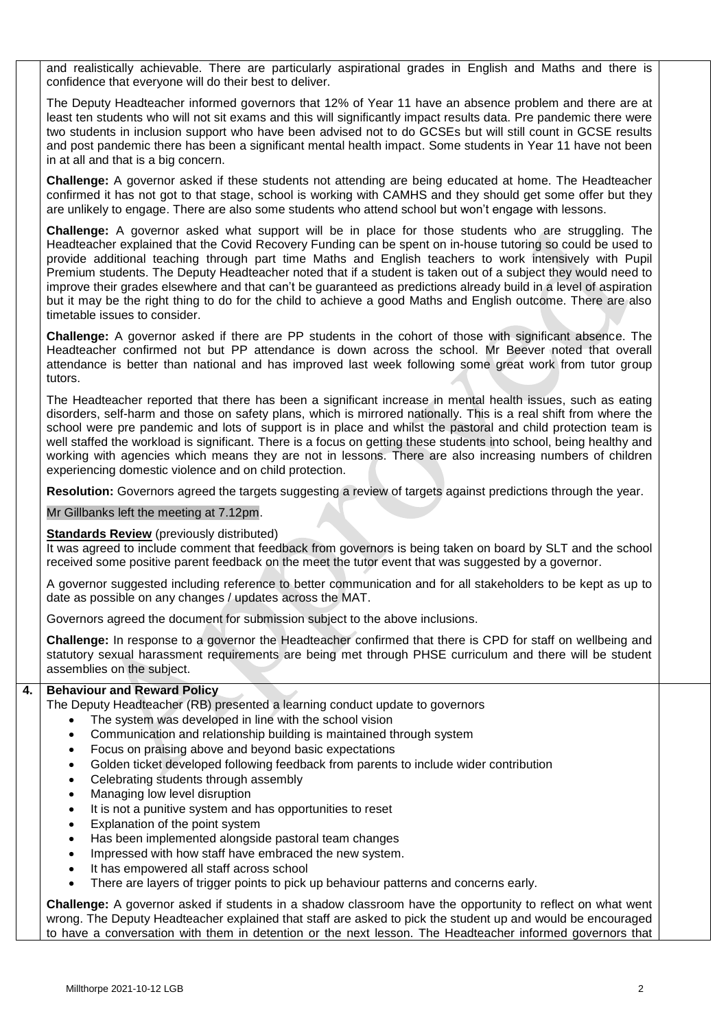and realistically achievable. There are particularly aspirational grades in English and Maths and there is confidence that everyone will do their best to deliver.

The Deputy Headteacher informed governors that 12% of Year 11 have an absence problem and there are at least ten students who will not sit exams and this will significantly impact results data. Pre pandemic there were two students in inclusion support who have been advised not to do GCSEs but will still count in GCSE results and post pandemic there has been a significant mental health impact. Some students in Year 11 have not been in at all and that is a big concern.

**Challenge:** A governor asked if these students not attending are being educated at home. The Headteacher confirmed it has not got to that stage, school is working with CAMHS and they should get some offer but they are unlikely to engage. There are also some students who attend school but won't engage with lessons.

**Challenge:** A governor asked what support will be in place for those students who are struggling. The Headteacher explained that the Covid Recovery Funding can be spent on in-house tutoring so could be used to provide additional teaching through part time Maths and English teachers to work intensively with Pupil Premium students. The Deputy Headteacher noted that if a student is taken out of a subject they would need to improve their grades elsewhere and that can't be guaranteed as predictions already build in a level of aspiration but it may be the right thing to do for the child to achieve a good Maths and English outcome. There are also timetable issues to consider.

**Challenge:** A governor asked if there are PP students in the cohort of those with significant absence. The Headteacher confirmed not but PP attendance is down across the school. Mr Beever noted that overall attendance is better than national and has improved last week following some great work from tutor group tutors.

The Headteacher reported that there has been a significant increase in mental health issues, such as eating disorders, self-harm and those on safety plans, which is mirrored nationally. This is a real shift from where the school were pre pandemic and lots of support is in place and whilst the pastoral and child protection team is well staffed the workload is significant. There is a focus on getting these students into school, being healthy and working with agencies which means they are not in lessons. There are also increasing numbers of children experiencing domestic violence and on child protection.

**Resolution:** Governors agreed the targets suggesting a review of targets against predictions through the year.

Mr Gillbanks left the meeting at 7.12pm.

#### **Standards Review** (previously distributed)

It was agreed to include comment that feedback from governors is being taken on board by SLT and the school received some positive parent feedback on the meet the tutor event that was suggested by a governor.

A governor suggested including reference to better communication and for all stakeholders to be kept as up to date as possible on any changes / updates across the MAT.

Governors agreed the document for submission subject to the above inclusions.

**Challenge:** In response to a governor the Headteacher confirmed that there is CPD for staff on wellbeing and statutory sexual harassment requirements are being met through PHSE curriculum and there will be student assemblies on the subject.

#### **4. Behaviour and Reward Policy**

The Deputy Headteacher (RB) presented a learning conduct update to governors

- The system was developed in line with the school vision
- Communication and relationship building is maintained through system
- Focus on praising above and beyond basic expectations
- Golden ticket developed following feedback from parents to include wider contribution
- Celebrating students through assembly
- Managing low level disruption
- It is not a punitive system and has opportunities to reset
- Explanation of the point system
- Has been implemented alongside pastoral team changes
- Impressed with how staff have embraced the new system.
- It has empowered all staff across school
- There are layers of trigger points to pick up behaviour patterns and concerns early.

**Challenge:** A governor asked if students in a shadow classroom have the opportunity to reflect on what went wrong. The Deputy Headteacher explained that staff are asked to pick the student up and would be encouraged to have a conversation with them in detention or the next lesson. The Headteacher informed governors that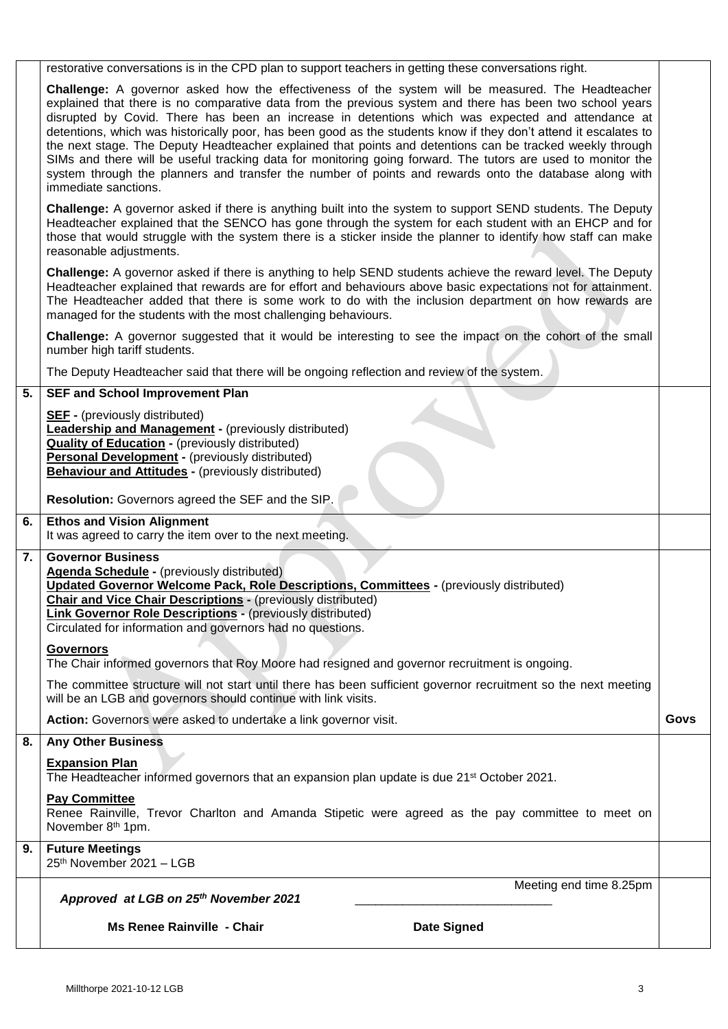|    | <b>Ms Renee Rainville - Chair</b><br><b>Date Signed</b>                                                                                                                                                                                                                                                                                                                                                                                                                                                                                                                                                                                                                                                                                                                                                      |      |  |  |  |
|----|--------------------------------------------------------------------------------------------------------------------------------------------------------------------------------------------------------------------------------------------------------------------------------------------------------------------------------------------------------------------------------------------------------------------------------------------------------------------------------------------------------------------------------------------------------------------------------------------------------------------------------------------------------------------------------------------------------------------------------------------------------------------------------------------------------------|------|--|--|--|
|    | Meeting end time 8.25pm<br>Approved at LGB on 25th November 2021                                                                                                                                                                                                                                                                                                                                                                                                                                                                                                                                                                                                                                                                                                                                             |      |  |  |  |
| 9. | <b>Future Meetings</b><br>25th November 2021 - LGB                                                                                                                                                                                                                                                                                                                                                                                                                                                                                                                                                                                                                                                                                                                                                           |      |  |  |  |
|    | <b>Pay Committee</b><br>Renee Rainville, Trevor Charlton and Amanda Stipetic were agreed as the pay committee to meet on<br>November 8 <sup>th</sup> 1pm.                                                                                                                                                                                                                                                                                                                                                                                                                                                                                                                                                                                                                                                    |      |  |  |  |
|    | <b>Expansion Plan</b><br>The Headteacher informed governors that an expansion plan update is due 21 <sup>st</sup> October 2021.                                                                                                                                                                                                                                                                                                                                                                                                                                                                                                                                                                                                                                                                              |      |  |  |  |
| 8. | <b>Any Other Business</b>                                                                                                                                                                                                                                                                                                                                                                                                                                                                                                                                                                                                                                                                                                                                                                                    |      |  |  |  |
|    | The committee structure will not start until there has been sufficient governor recruitment so the next meeting<br>will be an LGB and governors should continue with link visits.<br>Action: Governors were asked to undertake a link governor visit.                                                                                                                                                                                                                                                                                                                                                                                                                                                                                                                                                        | Govs |  |  |  |
|    | <b>Governors</b><br>The Chair informed governors that Roy Moore had resigned and governor recruitment is ongoing.                                                                                                                                                                                                                                                                                                                                                                                                                                                                                                                                                                                                                                                                                            |      |  |  |  |
| 7. | <b>Governor Business</b><br>Agenda Schedule - (previously distributed)<br>Updated Governor Welcome Pack, Role Descriptions, Committees - (previously distributed)<br><b>Chair and Vice Chair Descriptions - (previously distributed)</b><br><b>Link Governor Role Descriptions - (previously distributed)</b><br>Circulated for information and governors had no questions.                                                                                                                                                                                                                                                                                                                                                                                                                                  |      |  |  |  |
| 6. | <b>Ethos and Vision Alignment</b><br>It was agreed to carry the item over to the next meeting.                                                                                                                                                                                                                                                                                                                                                                                                                                                                                                                                                                                                                                                                                                               |      |  |  |  |
|    | <b>SEF</b> - (previously distributed)<br><b>Leadership and Management - (previously distributed)</b><br><b>Quality of Education - (previously distributed)</b><br><b>Personal Development - (previously distributed)</b><br><b>Behaviour and Attitudes - (previously distributed)</b><br>Resolution: Governors agreed the SEF and the SIP.                                                                                                                                                                                                                                                                                                                                                                                                                                                                   |      |  |  |  |
| 5. | <b>SEF and School Improvement Plan</b>                                                                                                                                                                                                                                                                                                                                                                                                                                                                                                                                                                                                                                                                                                                                                                       |      |  |  |  |
|    | number high tariff students.<br>The Deputy Headteacher said that there will be ongoing reflection and review of the system.                                                                                                                                                                                                                                                                                                                                                                                                                                                                                                                                                                                                                                                                                  |      |  |  |  |
|    | Challenge: A governor asked if there is anything to help SEND students achieve the reward level. The Deputy<br>Headteacher explained that rewards are for effort and behaviours above basic expectations not for attainment.<br>The Headteacher added that there is some work to do with the inclusion department on how rewards are<br>managed for the students with the most challenging behaviours.<br>Challenge: A governor suggested that it would be interesting to see the impact on the cohort of the small                                                                                                                                                                                                                                                                                          |      |  |  |  |
|    | Challenge: A governor asked if there is anything built into the system to support SEND students. The Deputy<br>Headteacher explained that the SENCO has gone through the system for each student with an EHCP and for<br>those that would struggle with the system there is a sticker inside the planner to identify how staff can make<br>reasonable adjustments.                                                                                                                                                                                                                                                                                                                                                                                                                                           |      |  |  |  |
|    | <b>Challenge:</b> A governor asked how the effectiveness of the system will be measured. The Headteacher<br>explained that there is no comparative data from the previous system and there has been two school years<br>disrupted by Covid. There has been an increase in detentions which was expected and attendance at<br>detentions, which was historically poor, has been good as the students know if they don't attend it escalates to<br>the next stage. The Deputy Headteacher explained that points and detentions can be tracked weekly through<br>SIMs and there will be useful tracking data for monitoring going forward. The tutors are used to monitor the<br>system through the planners and transfer the number of points and rewards onto the database along with<br>immediate sanctions. |      |  |  |  |
|    | restorative conversations is in the CPD plan to support teachers in getting these conversations right.                                                                                                                                                                                                                                                                                                                                                                                                                                                                                                                                                                                                                                                                                                       |      |  |  |  |